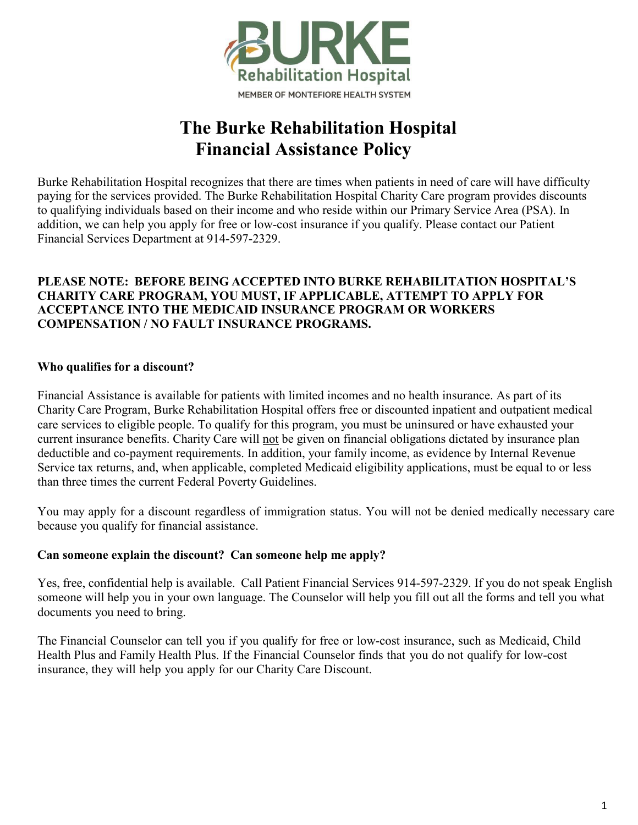

# **The Burke Rehabilitation Hospital Financial Assistance Policy**

Burke Rehabilitation Hospital recognizes that there are times when patients in need of care will have difficulty paying for the services provided. The Burke Rehabilitation Hospital Charity Care program provides discounts to qualifying individuals based on their income and who reside within our Primary Service Area (PSA). In addition, we can help you apply for free or low-cost insurance if you qualify. Please contact our Patient Financial Services Department at 914-597-2329.

#### **PLEASE NOTE: BEFORE BEING ACCEPTED INTO BURKE REHABILITATION HOSPITAL'S CHARITY CARE PROGRAM, YOU MUST, IF APPLICABLE, ATTEMPT TO APPLY FOR ACCEPTANCE INTO THE MEDICAID INSURANCE PROGRAM OR WORKERS COMPENSATION / NO FAULT INSURANCE PROGRAMS.**

## **Who qualifies for a discount?**

Financial Assistance is available for patients with limited incomes and no health insurance. As part of its Charity Care Program, Burke Rehabilitation Hospital offers free or discounted inpatient and outpatient medical care services to eligible people. To qualify for this program, you must be uninsured or have exhausted your current insurance benefits. Charity Care will not be given on financial obligations dictated by insurance plan deductible and co-payment requirements. In addition, your family income, as evidence by Internal Revenue Service tax returns, and, when applicable, completed Medicaid eligibility applications, must be equal to or less than three times the current Federal Poverty Guidelines.

You may apply for a discount regardless of immigration status. You will not be denied medically necessary care because you qualify for financial assistance.

## **Can someone explain the discount? Can someone help me apply?**

Yes, free, confidential help is available. Call Patient Financial Services 914-597-2329. If you do not speak English someone will help you in your own language. The Counselor will help you fill out all the forms and tell you what documents you need to bring.

The Financial Counselor can tell you if you qualify for free or low-cost insurance, such as Medicaid, Child Health Plus and Family Health Plus. If the Financial Counselor finds that you do not qualify for low-cost insurance, they will help you apply for our Charity Care Discount.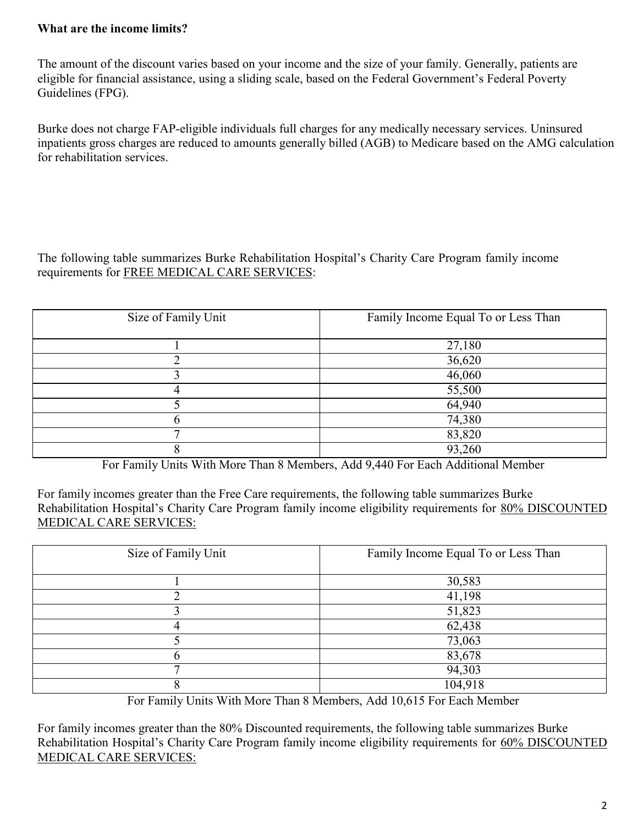# **What are the income limits?**

The amount of the discount varies based on your income and the size of your family. Generally, patients are eligible for financial assistance, using a sliding scale, based on the Federal Government's Federal Poverty Guidelines (FPG).

Burke does not charge FAP-eligible individuals full charges for any medically necessary services. Uninsured inpatients gross charges are reduced to amounts generally billed (AGB) to Medicare based on the AMG calculation for rehabilitation services.

The following table summarizes Burke Rehabilitation Hospital's Charity Care Program family income requirements for FREE MEDICAL CARE SERVICES:

| Size of Family Unit | Family Income Equal To or Less Than |
|---------------------|-------------------------------------|
|                     | 27,180                              |
|                     | 36,620                              |
|                     | 46,060                              |
|                     | 55,500                              |
|                     | 64,940                              |
|                     | 74,380                              |
|                     | 83,820                              |
|                     | 93,260                              |

For Family Units With More Than 8 Members, Add 9,440 For Each Additional Member

For family incomes greater than the Free Care requirements, the following table summarizes Burke Rehabilitation Hospital's Charity Care Program family income eligibility requirements for 80% DISCOUNTED MEDICAL CARE SERVICES:

| Size of Family Unit | Family Income Equal To or Less Than |
|---------------------|-------------------------------------|
|                     | 30,583                              |
|                     | 41,198                              |
|                     | 51,823                              |
| 4                   | 62,438                              |
|                     | 73,063                              |
|                     | 83,678                              |
| ┍                   | 94,303                              |
|                     | 104,918                             |

For Family Units With More Than 8 Members, Add 10,615 For Each Member

For family incomes greater than the 80% Discounted requirements, the following table summarizes Burke Rehabilitation Hospital's Charity Care Program family income eligibility requirements for 60% DISCOUNTED MEDICAL CARE SERVICES: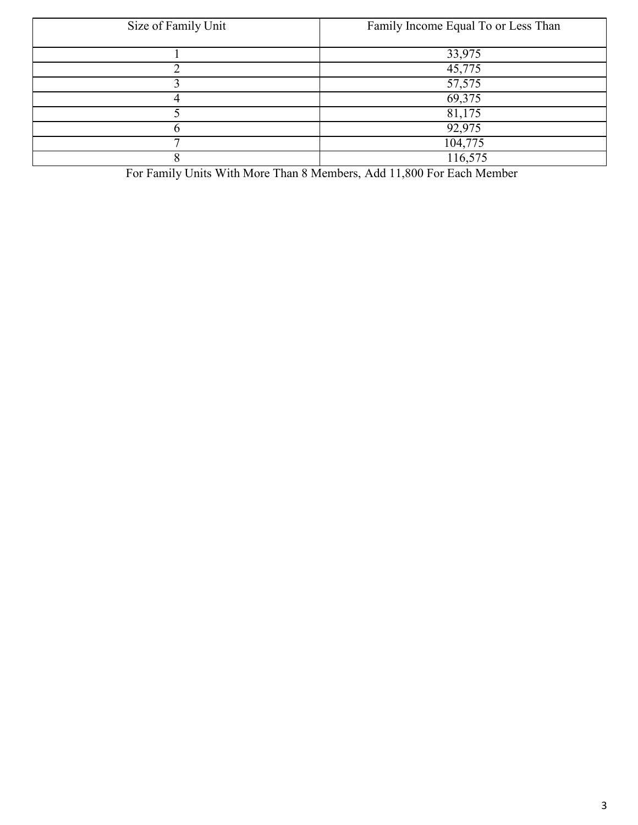| Size of Family Unit | Family Income Equal To or Less Than |
|---------------------|-------------------------------------|
|                     | 33,975                              |
|                     | 45,775                              |
|                     | 57,575                              |
|                     | 69,375                              |
|                     | 81,175                              |
|                     | 92,975                              |
|                     | 104,775                             |
|                     | 116,575                             |

For Family Units With More Than 8 Members, Add 11,800 For Each Member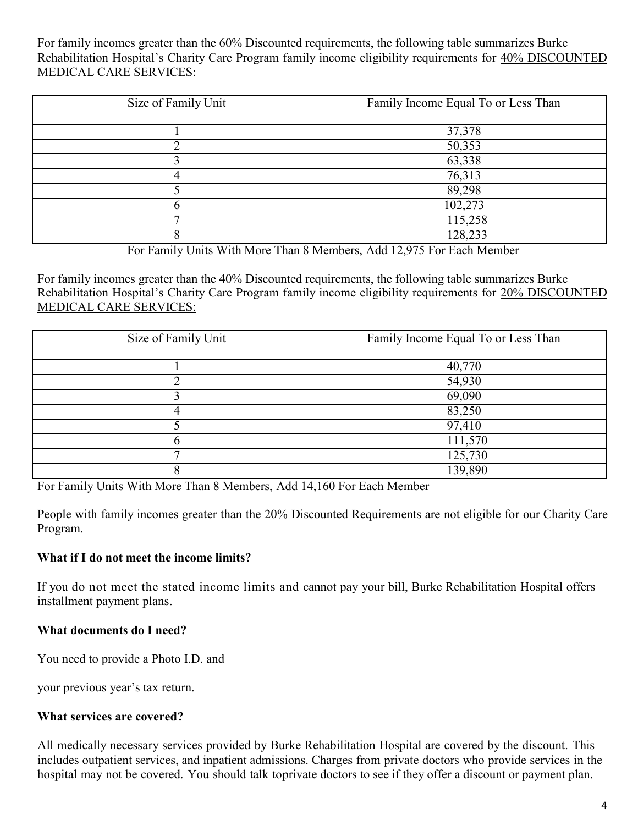For family incomes greater than the 60% Discounted requirements, the following table summarizes Burke Rehabilitation Hospital's Charity Care Program family income eligibility requirements for 40% DISCOUNTED MEDICAL CARE SERVICES:

| Size of Family Unit | Family Income Equal To or Less Than |
|---------------------|-------------------------------------|
|                     |                                     |
|                     |                                     |
|                     | 37,378                              |
|                     | 50,353                              |
|                     | 63,338                              |
|                     | 76,313                              |
|                     | 89,298                              |
|                     | 102,273                             |
| ┍                   | 115,258                             |
|                     | 128,233                             |

For Family Units With More Than 8 Members, Add 12,975 For Each Member

For family incomes greater than the 40% Discounted requirements, the following table summarizes Burke Rehabilitation Hospital's Charity Care Program family income eligibility requirements for 20% DISCOUNTED MEDICAL CARE SERVICES:

| Size of Family Unit | Family Income Equal To or Less Than |
|---------------------|-------------------------------------|
|                     | 40,770                              |
|                     | 54,930                              |
|                     | 69,090                              |
|                     | 83,250                              |
|                     | 97,410                              |
|                     | 111,570                             |
| ┍                   | 125,730                             |
|                     | 139,890                             |

For Family Units With More Than 8 Members, Add 14,160 For Each Member

People with family incomes greater than the 20% Discounted Requirements are not eligible for our Charity Care Program.

## **What if I do not meet the income limits?**

If you do not meet the stated income limits and cannot pay your bill, Burke Rehabilitation Hospital offers installment payment plans.

## **What documents do I need?**

You need to provide a Photo I.D. and

your previous year's tax return.

## **What services are covered?**

All medically necessary services provided by Burke Rehabilitation Hospital are covered by the discount. This includes outpatient services, and inpatient admissions. Charges from private doctors who provide services in the hospital may not be covered. You should talk toprivate doctors to see if they offer a discount or payment plan.